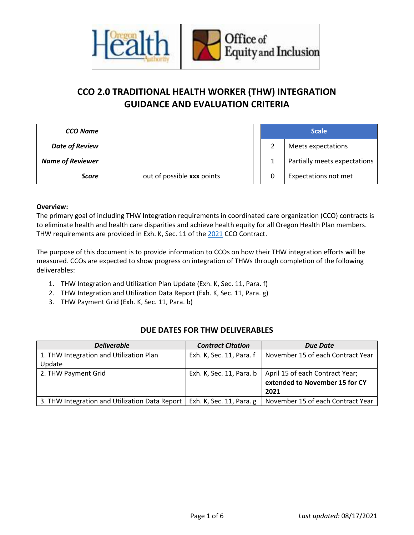

# **CCO 2.0 TRADITIONAL HEALTH WORKER (THW) INTEGRATION GUIDANCE AND EVALUATION CRITERIA**

| <b>CCO Name</b>         |                            |  | <b>Scale</b>                 |
|-------------------------|----------------------------|--|------------------------------|
| <b>Date of Review</b>   |                            |  | Meets expectations           |
| <b>Name of Reviewer</b> |                            |  | Partially meets expectations |
| <b>Score</b>            | out of possible xxx points |  | Expectations not met         |

#### **Overview:**

The primary goal of including THW Integration requirements in coordinated care organization (CCO) contracts is to eliminate health and health care disparities and achieve health equity for all Oregon Health Plan members. THW requirements are provided in Exh. K, Sec. 11 of the [2021](https://www.oregon.gov/oha/HSD/OHP/Documents/2021-CCO-Contract-Template.pdf) CCO Contract.

The purpose of this document is to provide information to CCOs on how their THW integration efforts will be measured. CCOs are expected to show progress on integration of THWs through completion of the following deliverables:

- 1. THW Integration and Utilization Plan Update (Exh. K, Sec. 11, Para. f)
- 2. THW Integration and Utilization Data Report (Exh. K, Sec. 11, Para. g)
- 3. THW Payment Grid (Exh. K, Sec. 11, Para. b)

### **DUE DATES FOR THW DELIVERABLES**

| <b>Deliverable</b>                             | <b>Contract Citation</b> | <b>Due Date</b>                   |
|------------------------------------------------|--------------------------|-----------------------------------|
| 1. THW Integration and Utilization Plan        | Exh. K, Sec. 11, Para. f | November 15 of each Contract Year |
| Update                                         |                          |                                   |
| 2. THW Payment Grid                            | Exh. K, Sec. 11, Para. b | April 15 of each Contract Year;   |
|                                                |                          | extended to November 15 for CY    |
|                                                |                          | 2021                              |
| 3. THW Integration and Utilization Data Report | Exh. K, Sec. 11, Para. g | November 15 of each Contract Year |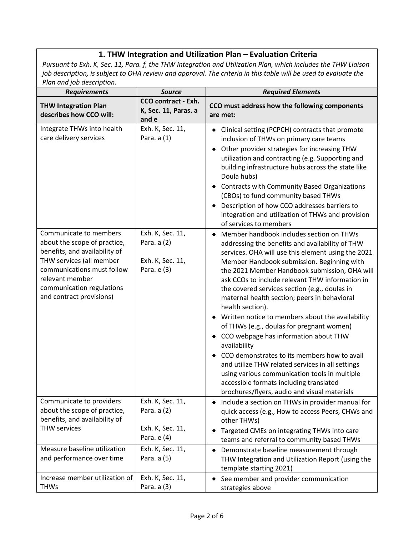## **1. THW Integration and Utilization Plan – Evaluation Criteria**

*Pursuant to Exh. K, Sec. 11, Para. f, the THW Integration and Utilization Plan, which includes the THW Liaison job description, is subject to OHA review and approval. The criteria in this table will be used to evaluate the Plan and job description.*

| <b>Requirements</b>                                                                                                                                                                                                           | <b>Source</b>                                                      | <b>Required Elements</b>                                                                                                                                                                                                                                                                                                                                                                                                                                                                                                                                                                                                                                                                                                                                                                                                                             |  |
|-------------------------------------------------------------------------------------------------------------------------------------------------------------------------------------------------------------------------------|--------------------------------------------------------------------|------------------------------------------------------------------------------------------------------------------------------------------------------------------------------------------------------------------------------------------------------------------------------------------------------------------------------------------------------------------------------------------------------------------------------------------------------------------------------------------------------------------------------------------------------------------------------------------------------------------------------------------------------------------------------------------------------------------------------------------------------------------------------------------------------------------------------------------------------|--|
| <b>THW Integration Plan</b><br>describes how CCO will:                                                                                                                                                                        | <b>CCO contract - Exh.</b><br>K, Sec. 11, Paras. a<br>and e        | CCO must address how the following components<br>are met:                                                                                                                                                                                                                                                                                                                                                                                                                                                                                                                                                                                                                                                                                                                                                                                            |  |
| Integrate THWs into health<br>care delivery services                                                                                                                                                                          | Exh. K, Sec. 11,<br>Para. a (1)                                    | Clinical setting (PCPCH) contracts that promote<br>$\bullet$<br>inclusion of THWs on primary care teams<br>Other provider strategies for increasing THW<br>utilization and contracting (e.g. Supporting and<br>building infrastructure hubs across the state like<br>Doula hubs)<br><b>Contracts with Community Based Organizations</b><br>(CBOs) to fund community based THWs<br>Description of how CCO addresses barriers to<br>integration and utilization of THWs and provision<br>of services to members                                                                                                                                                                                                                                                                                                                                        |  |
| Communicate to members<br>about the scope of practice,<br>benefits, and availability of<br>THW services (all member<br>communications must follow<br>relevant member<br>communication regulations<br>and contract provisions) | Exh. K, Sec. 11,<br>Para. a (2)<br>Exh. K, Sec. 11,<br>Para. e (3) | Member handbook includes section on THWs<br>$\bullet$<br>addressing the benefits and availability of THW<br>services. OHA will use this element using the 2021<br>Member Handbook submission. Beginning with<br>the 2021 Member Handbook submission, OHA will<br>ask CCOs to include relevant THW information in<br>the covered services section (e.g., doulas in<br>maternal health section; peers in behavioral<br>health section).<br>Written notice to members about the availability<br>of THWs (e.g., doulas for pregnant women)<br>CCO webpage has information about THW<br>٠<br>availability<br>CCO demonstrates to its members how to avail<br>and utilize THW related services in all settings<br>using various communication tools in multiple<br>accessible formats including translated<br>brochures/flyers, audio and visual materials |  |
| Communicate to providers<br>about the scope of practice,<br>benefits, and availability of<br><b>THW services</b>                                                                                                              | Exh. K, Sec. 11,<br>Para. a (2)<br>Exh. K, Sec. 11,<br>Para. e (4) | Include a section on THWs in provider manual for<br>quick access (e.g., How to access Peers, CHWs and<br>other THWs)<br>Targeted CMEs on integrating THWs into care<br>teams and referral to community based THWs                                                                                                                                                                                                                                                                                                                                                                                                                                                                                                                                                                                                                                    |  |
| Measure baseline utilization<br>and performance over time                                                                                                                                                                     | Exh. K, Sec. 11,<br>Para. a (5)                                    | Demonstrate baseline measurement through<br>٠<br>THW Integration and Utilization Report (using the<br>template starting 2021)                                                                                                                                                                                                                                                                                                                                                                                                                                                                                                                                                                                                                                                                                                                        |  |
| Increase member utilization of<br><b>THWs</b>                                                                                                                                                                                 | Exh. K, Sec. 11,<br>Para. a (3)                                    | See member and provider communication<br>strategies above                                                                                                                                                                                                                                                                                                                                                                                                                                                                                                                                                                                                                                                                                                                                                                                            |  |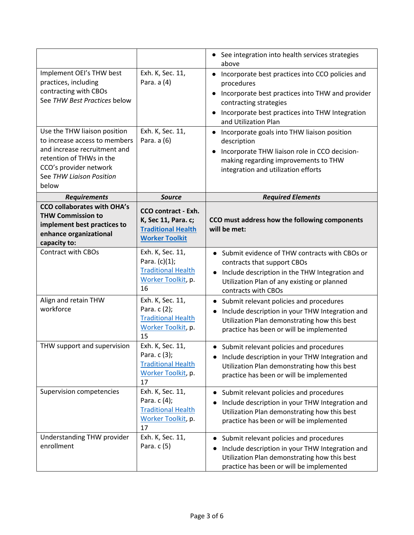|                                                                                                                                                                                          |                                                                                                         | • See integration into health services strategies<br>above                                                                                                                                                                        |
|------------------------------------------------------------------------------------------------------------------------------------------------------------------------------------------|---------------------------------------------------------------------------------------------------------|-----------------------------------------------------------------------------------------------------------------------------------------------------------------------------------------------------------------------------------|
| Implement OEI's THW best<br>practices, including<br>contracting with CBOs<br>See THW Best Practices below                                                                                | Exh. K, Sec. 11,<br>Para. a (4)                                                                         | Incorporate best practices into CCO policies and<br>٠<br>procedures<br>Incorporate best practices into THW and provider<br>٠<br>contracting strategies<br>Incorporate best practices into THW Integration<br>and Utilization Plan |
| Use the THW liaison position<br>to increase access to members<br>and increase recruitment and<br>retention of THWs in the<br>CCO's provider network<br>See THW Liaison Position<br>below | Exh. K, Sec. 11,<br>Para. a (6)                                                                         | Incorporate goals into THW liaison position<br>٠<br>description<br>Incorporate THW liaison role in CCO decision-<br>٠<br>making regarding improvements to THW<br>integration and utilization efforts                              |
| <b>Requirements</b>                                                                                                                                                                      | <b>Source</b>                                                                                           | <b>Required Elements</b>                                                                                                                                                                                                          |
| <b>CCO collaborates with OHA's</b><br><b>THW Commission to</b><br>implement best practices to<br>enhance organizational<br>capacity to:                                                  | <b>CCO contract - Exh.</b><br>K, Sec 11, Para. c;<br><b>Traditional Health</b><br><b>Worker Toolkit</b> | CCO must address how the following components<br>will be met:                                                                                                                                                                     |
| <b>Contract with CBOs</b>                                                                                                                                                                | Exh. K, Sec. 11,<br>Para. $(c)(1)$ ;<br><b>Traditional Health</b><br>Worker Toolkit, p.<br>16           | • Submit evidence of THW contracts with CBOs or<br>contracts that support CBOs<br>Include description in the THW Integration and<br>Utilization Plan of any existing or planned<br>contracts with CBOs                            |
| Align and retain THW<br>workforce                                                                                                                                                        | Exh. K, Sec. 11,<br>Para. c (2);<br><b>Traditional Health</b><br>Worker Toolkit, p.<br>15               | Submit relevant policies and procedures<br>٠<br>Include description in your THW Integration and<br>Utilization Plan demonstrating how this best<br>practice has been or will be implemented                                       |
| THW support and supervision                                                                                                                                                              | Exh. K, Sec. 11,<br>Para. c (3);<br><b>Traditional Health</b><br>Worker Toolkit, p.<br>17               | • Submit relevant policies and procedures<br>Include description in your THW Integration and<br>Utilization Plan demonstrating how this best<br>practice has been or will be implemented                                          |
| Supervision competencies                                                                                                                                                                 | Exh. K, Sec. 11,<br>Para. c (4);<br><b>Traditional Health</b><br>Worker Toolkit, p.<br>17               | Submit relevant policies and procedures<br>Include description in your THW Integration and<br>Utilization Plan demonstrating how this best<br>practice has been or will be implemented                                            |
| Understanding THW provider<br>enrollment                                                                                                                                                 | Exh. K, Sec. 11,<br>Para. c (5)                                                                         | Submit relevant policies and procedures<br>Include description in your THW Integration and<br>Utilization Plan demonstrating how this best<br>practice has been or will be implemented                                            |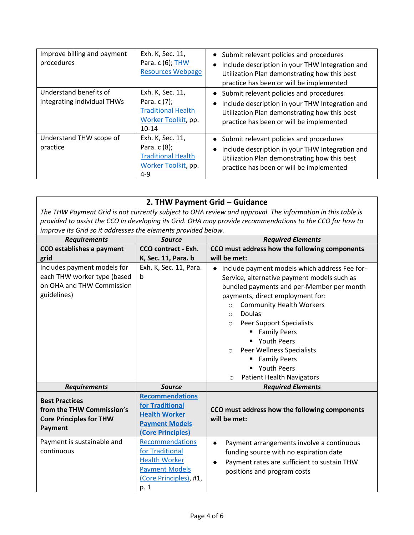| Improve billing and payment<br>procedures             | Exh. K, Sec. 11,<br>Para. c (6); THW<br><b>Resources Webpage</b>                                    | Submit relevant policies and procedures<br>Include description in your THW Integration and<br>Utilization Plan demonstrating how this best<br>practice has been or will be implemented |
|-------------------------------------------------------|-----------------------------------------------------------------------------------------------------|----------------------------------------------------------------------------------------------------------------------------------------------------------------------------------------|
| Understand benefits of<br>integrating individual THWs | Exh. K, Sec. 11,<br>Para. $c(7)$ ;<br><b>Traditional Health</b><br>Worker Toolkit, pp.<br>$10 - 14$ | Submit relevant policies and procedures<br>Include description in your THW Integration and<br>Utilization Plan demonstrating how this best<br>practice has been or will be implemented |
| Understand THW scope of<br>practice                   | Exh. K, Sec. 11,<br>Para. $c(8)$ ;<br><b>Traditional Health</b><br>Worker Toolkit, pp.<br>$4 - 9$   | Submit relevant policies and procedures<br>Include description in your THW Integration and<br>Utilization Plan demonstrating how this best<br>practice has been or will be implemented |

#### **2. THW Payment Grid – Guidance** *The THW Payment Grid is not currently subject to OHA review and approval. The information in this table is provided to assist the CCO in developing its Grid. OHA may provide recommendations to the CCO for how to improve its Grid so it addresses the elements provided below. Requirements Source Required Elements*  **CCO establishes a payment grid CCO contract - Exh. K, Sec. 11, Para. b CCO must address how the following components will be met:** Includes payment models for each THW worker type (based b on OHA and THW Commission guidelines) Exh. K, Sec. 11, Para. • Include payment models which address Fee for-Service, alternative payment models such as bundled payments and per-Member per month payments, direct employment for:

| on OHA and THW Commission<br>guidelines)                                                        |                                                                                                                       | bundled payments and per-Member per month<br>payments, direct employment for:<br><b>Community Health Workers</b><br>$\circ$<br><b>Doulas</b><br>$\circ$<br><b>Peer Support Specialists</b><br>$\circ$<br><b>Family Peers</b><br>• Youth Peers<br><b>Peer Wellness Specialists</b><br>$\circ$<br><b>Family Peers</b><br>" Youth Peers<br><b>Patient Health Navigators</b><br>$\circ$ |
|-------------------------------------------------------------------------------------------------|-----------------------------------------------------------------------------------------------------------------------|-------------------------------------------------------------------------------------------------------------------------------------------------------------------------------------------------------------------------------------------------------------------------------------------------------------------------------------------------------------------------------------|
| <b>Requirements</b>                                                                             | <b>Source</b>                                                                                                         | <b>Required Elements</b>                                                                                                                                                                                                                                                                                                                                                            |
| <b>Best Practices</b><br>from the THW Commission's<br><b>Core Principles for THW</b><br>Payment | <b>Recommendations</b><br>for Traditional<br><b>Health Worker</b><br><b>Payment Models</b><br><b>Core Principles)</b> | CCO must address how the following components<br>will be met:                                                                                                                                                                                                                                                                                                                       |
| Payment is sustainable and<br>continuous                                                        | Recommendations<br>for Traditional<br><b>Health Worker</b><br><b>Payment Models</b><br>(Core Principles), #1,<br>p. 1 | Payment arrangements involve a continuous<br>funding source with no expiration date<br>Payment rates are sufficient to sustain THW<br>positions and program costs                                                                                                                                                                                                                   |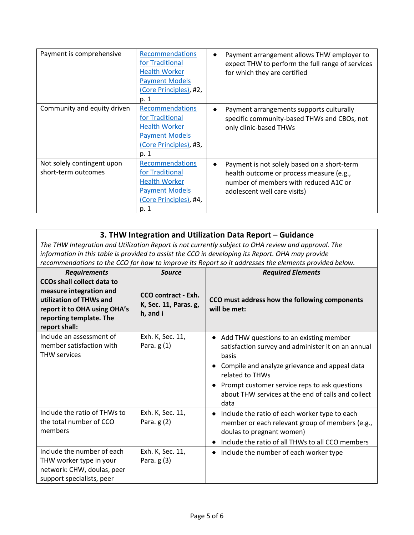| Payment is comprehensive                          | Recommendations<br>for Traditional<br><b>Health Worker</b><br><b>Payment Models</b><br>(Core Principles), #2,<br>p. 1        | Payment arrangement allows THW employer to<br>expect THW to perform the full range of services<br>for which they are certified                                   |
|---------------------------------------------------|------------------------------------------------------------------------------------------------------------------------------|------------------------------------------------------------------------------------------------------------------------------------------------------------------|
| Community and equity driven                       | <b>Recommendations</b><br>for Traditional<br><b>Health Worker</b><br><b>Payment Models</b><br>(Core Principles), #3,<br>p. 1 | Payment arrangements supports culturally<br>specific community-based THWs and CBOs, not<br>only clinic-based THWs                                                |
| Not solely contingent upon<br>short-term outcomes | Recommendations<br>for Traditional<br><b>Health Worker</b><br><b>Payment Models</b><br>(Core Principles), #4,<br>p. 1        | Payment is not solely based on a short-term<br>health outcome or process measure (e.g.,<br>number of members with reduced A1C or<br>adolescent well care visits) |

## **3. THW Integration and Utilization Data Report – Guidance**

*The THW Integration and Utilization Report is not currently subject to OHA review and approval. The information in this table is provided to assist the CCO in developing its Report. OHA may provide recommendations to the CCO for how to improve its Report so it addresses the elements provided below.*

| <b>Requirements</b>                                                                                                                                                 | <b>Source</b>                                            | <b>Required Elements</b>                                                                                                                                                                                                                                                                               |
|---------------------------------------------------------------------------------------------------------------------------------------------------------------------|----------------------------------------------------------|--------------------------------------------------------------------------------------------------------------------------------------------------------------------------------------------------------------------------------------------------------------------------------------------------------|
| <b>CCOs shall collect data to</b><br>measure integration and<br>utilization of THWs and<br>report it to OHA using OHA's<br>reporting template. The<br>report shall: | CCO contract - Exh.<br>K, Sec. 11, Paras. g,<br>h, and i | CCO must address how the following components<br>will be met:                                                                                                                                                                                                                                          |
| Include an assessment of<br>member satisfaction with<br><b>THW services</b>                                                                                         | Exh. K, Sec. 11,<br>Para. $g(1)$                         | Add THW questions to an existing member<br>$\bullet$<br>satisfaction survey and administer it on an annual<br>basis<br>Compile and analyze grievance and appeal data<br>related to THWs<br>Prompt customer service reps to ask questions<br>about THW services at the end of calls and collect<br>data |
| Include the ratio of THWs to<br>the total number of CCO<br>members                                                                                                  | Exh. K, Sec. 11,<br>Para. $g(2)$                         | Include the ratio of each worker type to each<br>$\bullet$<br>member or each relevant group of members (e.g.,<br>doulas to pregnant women)<br>Include the ratio of all THWs to all CCO members                                                                                                         |
| Include the number of each<br>THW worker type in your<br>network: CHW, doulas, peer<br>support specialists, peer                                                    | Exh. K, Sec. 11,<br>Para. $g(3)$                         | Include the number of each worker type<br>٠                                                                                                                                                                                                                                                            |